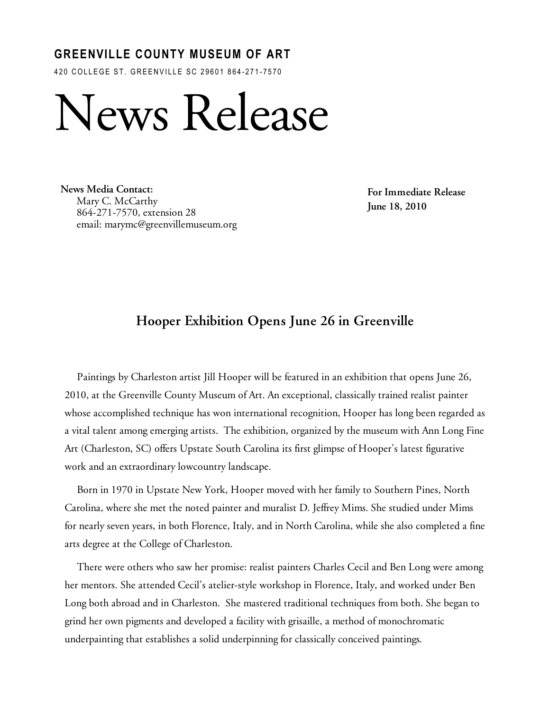## **GREENVILLE COUNTY MUSEUM OF ART**

420 COLLEGE ST. GREENVILLE SC 29601 864-271-7570

## News Release

**News Media Contact:**  Mary C. McCarthy 864-271-7570, extension 28 email: marymc@greenvillemuseum.org

**For Immediate Release June 18, 2010**

## **Hooper Exhibition Opens June 26 in Greenville**

Paintings by Charleston artist Jill Hooper will be featured in an exhibition that opens June 26, 2010, at the Greenville County Museum of Art. An exceptional, classically trained realist painter whose accomplished technique has won international recognition, Hooper has long been regarded as a vital talent among emerging artists. The exhibition, organized by the museum with Ann Long Fine Art (Charleston, SC) offers Upstate South Carolina its first glimpse of Hooper's latest figurative work and an extraordinary lowcountry landscape.

Born in 1970 in Upstate New York, Hooper moved with her family to Southern Pines, North Carolina, where she met the noted painter and muralist D. Jeffrey Mims. She studied under Mims for nearly seven years, in both Florence, Italy, and in North Carolina, while she also completed a fine arts degree at the College of Charleston.

There were others who saw her promise: realist painters Charles Cecil and Ben Long were among her mentors. She attended Cecil's atelier-style workshop in Florence, Italy, and worked under Ben Long both abroad and in Charleston. She mastered traditional techniques from both. She began to grind her own pigments and developed a facility with grisaille, a method of monochromatic underpainting that establishes a solid underpinning for classically conceived paintings.